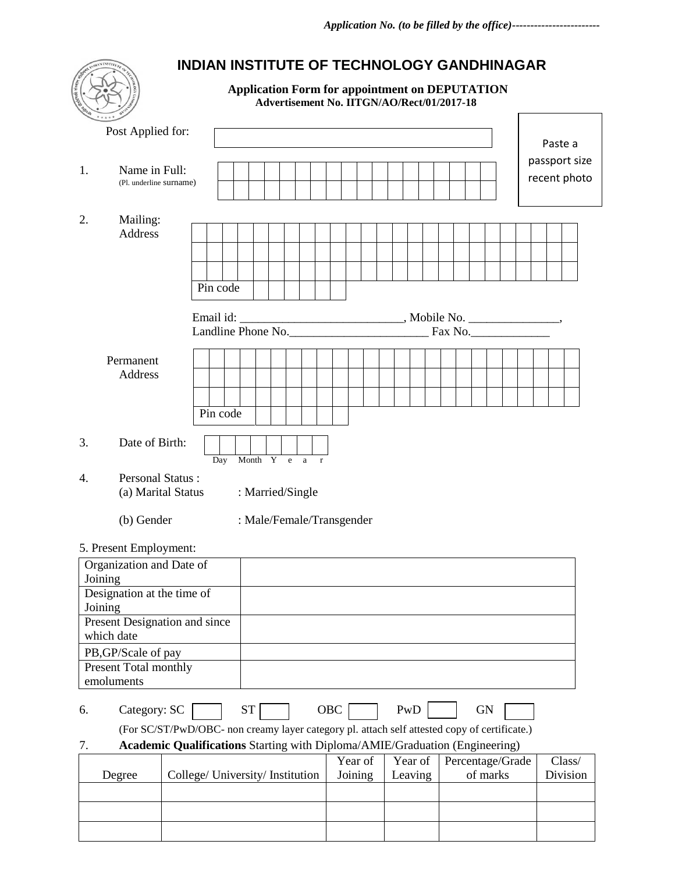|                                                                        | <b>INDIAN INSTITUTE OF TECHNOLOGY GANDHINAGAR</b>                                                         |                                                                                                     |         |         |                  |                          |
|------------------------------------------------------------------------|-----------------------------------------------------------------------------------------------------------|-----------------------------------------------------------------------------------------------------|---------|---------|------------------|--------------------------|
|                                                                        |                                                                                                           | <b>Application Form for appointment on DEPUTATION</b><br>Advertisement No. IITGN/AO/Rect/01/2017-18 |         |         |                  |                          |
| Post Applied for:                                                      |                                                                                                           |                                                                                                     |         |         |                  | Paste a<br>passport size |
| 1.<br>Name in Full:<br>(Pl. underline surname)                         |                                                                                                           |                                                                                                     |         |         |                  | recent photo             |
| 2.<br>Mailing:<br>Address                                              | Pin code                                                                                                  |                                                                                                     |         |         |                  |                          |
|                                                                        | Landline Phone No.                                                                                        |                                                                                                     |         |         | Fax No.          |                          |
| Permanent<br>Address                                                   | Pin code                                                                                                  |                                                                                                     |         |         |                  |                          |
| 3.<br>Date of Birth:                                                   | Day                                                                                                       | Month Y e a<br>$\mathbf{r}$                                                                         |         |         |                  |                          |
| <b>Personal Status:</b><br>4.<br>(a) Marital Status                    |                                                                                                           | : Married/Single                                                                                    |         |         |                  |                          |
| (b) Gender                                                             |                                                                                                           | : Male/Female/Transgender                                                                           |         |         |                  |                          |
| 5. Present Employment:<br>Organization and Date of<br>Joining          |                                                                                                           |                                                                                                     |         |         |                  |                          |
| Designation at the time of<br>Joining<br>Present Designation and since |                                                                                                           |                                                                                                     |         |         |                  |                          |
| which date<br>PB, GP/Scale of pay                                      |                                                                                                           |                                                                                                     |         |         |                  |                          |
| Present Total monthly<br>emoluments                                    |                                                                                                           |                                                                                                     |         |         |                  |                          |
| Category: SC<br>6.                                                     | <b>ST</b><br>(For SC/ST/PwD/OBC- non creamy layer category pl. attach self attested copy of certificate.) | OBC                                                                                                 |         | PwD     | <b>GN</b>        |                          |
| 7.                                                                     | Academic Qualifications Starting with Diploma/AMIE/Graduation (Engineering)                               |                                                                                                     | Year of | Year of | Percentage/Grade | Class/                   |
| Degree                                                                 | College/ University/ Institution                                                                          |                                                                                                     | Joining | Leaving | of marks         | Division                 |